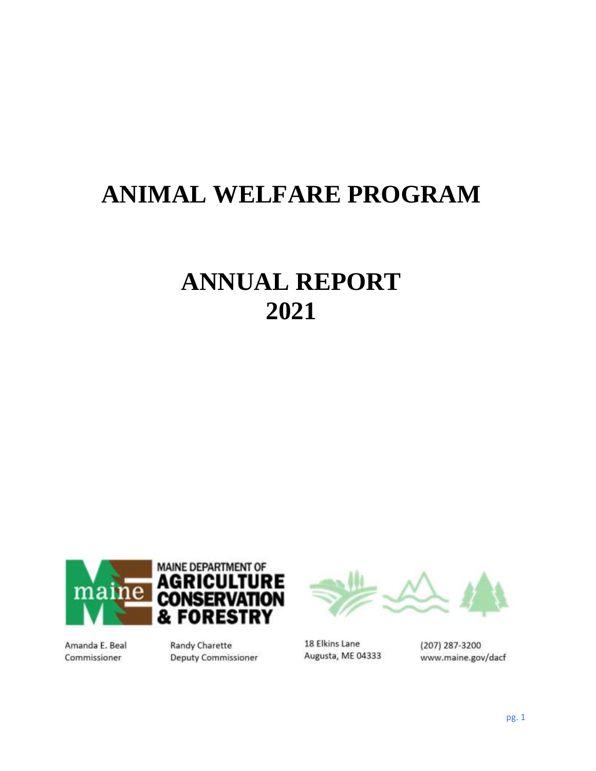# **ANIMAL WELFARE PROGRAM**

# **ANNUAL REPORT 2021**



Amanda E. Beal Commissioner

**Randy Charette Deputy Commissioner** 



18 Elkins Lane Augusta, ME 04333

(207) 287-3200 www.maine.gov/dacf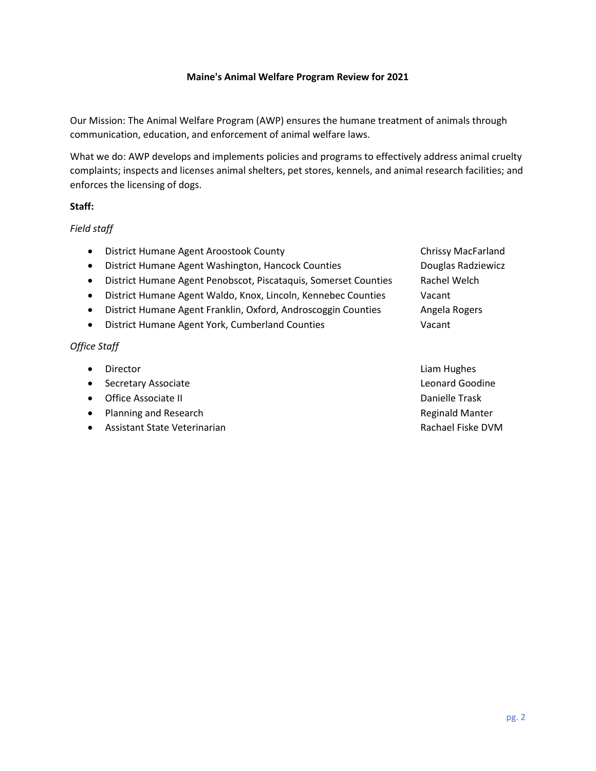### **Maine's Animal Welfare Program Review for 2021**

Our Mission: The Animal Welfare Program (AWP) ensures the humane treatment of animals through communication, education, and enforcement of animal welfare laws.

What we do: AWP develops and implements policies and programs to effectively address animal cruelty complaints; inspects and licenses animal shelters, pet stores, kennels, and animal research facilities; and enforces the licensing of dogs.

### **Staff:**

# *Field staff*

- District Humane Agent Aroostook County Chrissy MacFarland
- District Humane Agent Washington, Hancock Counties **Discussion Conglet Radziewicz**
- District Humane Agent Penobscot, Piscataquis, Somerset Counties Rachel Welch
- District Humane Agent Waldo, Knox, Lincoln, Kennebec Counties Vacant
- District Humane Agent Franklin, Oxford, Androscoggin Counties Angela Rogers
- District Humane Agent York, Cumberland Counties Vacant

### *Office Staff*

- Director **Liam Hughes Contract Contract Contract Contract Contract Contract Contract Contract Contract Contract Contract Contract Contract Contract Contract Contract Contract Contract Contract Contract Contract Contrac**
- Secretary Associate Leonard Goodine **Leonard Goodine**
- Office Associate II Danielle Trask
- Planning and Research **Reginald Manter** Reginald Manter
- Assistant State Veterinarian Rachael Fiske DVM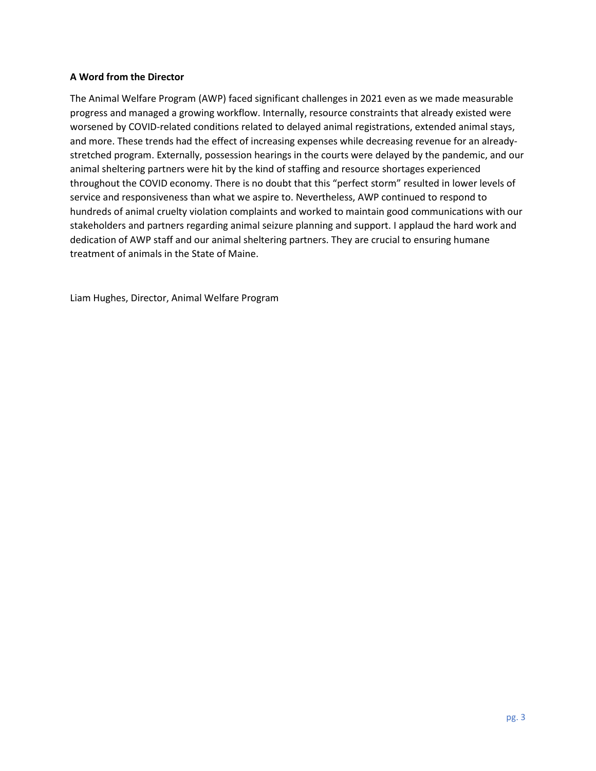# **A Word from the Director**

The Animal Welfare Program (AWP) faced significant challenges in 2021 even as we made measurable progress and managed a growing workflow. Internally, resource constraints that already existed were worsened by COVID-related conditions related to delayed animal registrations, extended animal stays, and more. These trends had the effect of increasing expenses while decreasing revenue for an alreadystretched program. Externally, possession hearings in the courts were delayed by the pandemic, and our animal sheltering partners were hit by the kind of staffing and resource shortages experienced throughout the COVID economy. There is no doubt that this "perfect storm" resulted in lower levels of service and responsiveness than what we aspire to. Nevertheless, AWP continued to respond to hundreds of animal cruelty violation complaints and worked to maintain good communications with our stakeholders and partners regarding animal seizure planning and support. I applaud the hard work and dedication of AWP staff and our animal sheltering partners. They are crucial to ensuring humane treatment of animals in the State of Maine.

Liam Hughes, Director, Animal Welfare Program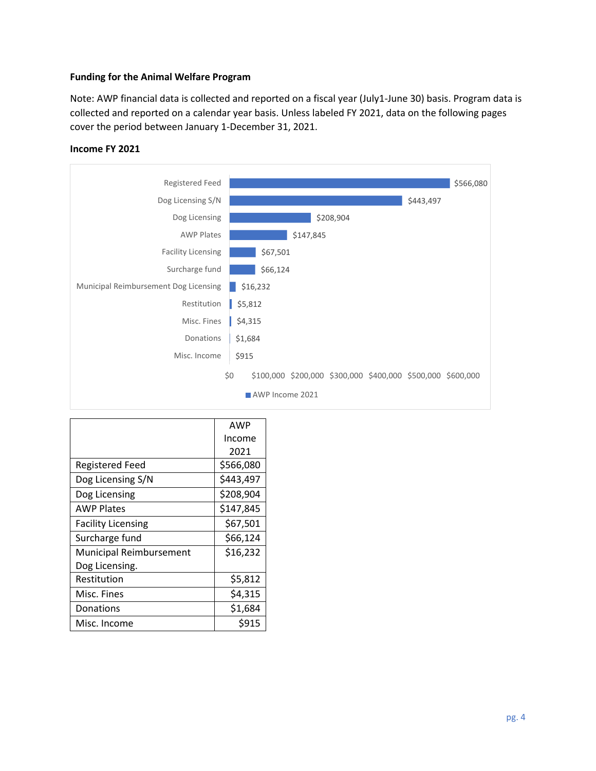### **Funding for the Animal Welfare Program**

Note: AWP financial data is collected and reported on a fiscal year (July1-June 30) basis. Program data is collected and reported on a calendar year basis. Unless labeled FY 2021, data on the following pages cover the period between January 1-December 31, 2021.



#### **Income FY 2021**

|                           | <b>AWP</b> |
|---------------------------|------------|
|                           | Income     |
|                           | 2021       |
| <b>Registered Feed</b>    | \$566,080  |
| Dog Licensing S/N         | \$443,497  |
| Dog Licensing             | \$208,904  |
| <b>AWP Plates</b>         | \$147,845  |
| <b>Facility Licensing</b> | \$67,501   |
| Surcharge fund            | \$66,124   |
| Municipal Reimbursement   | \$16,232   |
| Dog Licensing.            |            |
| Restitution               | \$5,812    |
| Misc. Fines               | \$4,315    |
| Donations                 | \$1,684    |
| Misc. Income              | \$915      |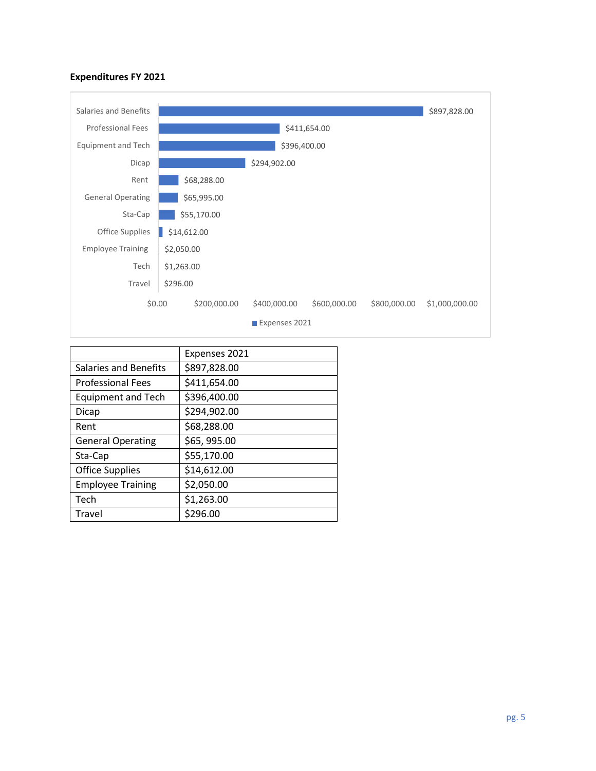# **Expenditures FY 2021**



|                           | Expenses 2021 |
|---------------------------|---------------|
| Salaries and Benefits     | \$897,828.00  |
| <b>Professional Fees</b>  | \$411,654.00  |
| <b>Equipment and Tech</b> | \$396,400.00  |
| Dicap                     | \$294,902.00  |
| Rent                      | \$68,288.00   |
| <b>General Operating</b>  | \$65,995.00   |
| Sta-Cap                   | \$55,170.00   |
| <b>Office Supplies</b>    | \$14,612.00   |
| <b>Employee Training</b>  | \$2,050.00    |
| Tech                      | \$1,263.00    |
| <b>Travel</b>             | \$296.00      |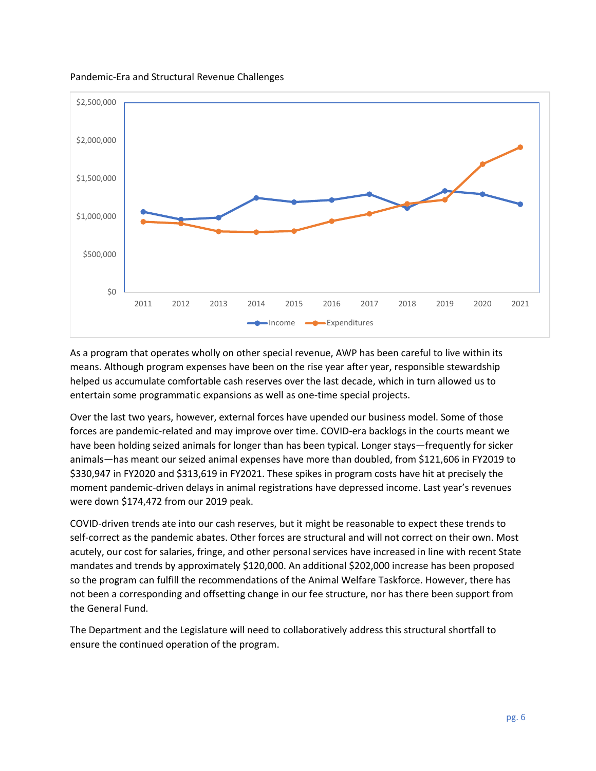Pandemic-Era and Structural Revenue Challenges



As a program that operates wholly on other special revenue, AWP has been careful to live within its means. Although program expenses have been on the rise year after year, responsible stewardship helped us accumulate comfortable cash reserves over the last decade, which in turn allowed us to entertain some programmatic expansions as well as one-time special projects.

Over the last two years, however, external forces have upended our business model. Some of those forces are pandemic-related and may improve over time. COVID-era backlogs in the courts meant we have been holding seized animals for longer than has been typical. Longer stays—frequently for sicker animals—has meant our seized animal expenses have more than doubled, from \$121,606 in FY2019 to \$330,947 in FY2020 and \$313,619 in FY2021. These spikes in program costs have hit at precisely the moment pandemic-driven delays in animal registrations have depressed income. Last year's revenues were down \$174,472 from our 2019 peak.

COVID-driven trends ate into our cash reserves, but it might be reasonable to expect these trends to self-correct as the pandemic abates. Other forces are structural and will not correct on their own. Most acutely, our cost for salaries, fringe, and other personal services have increased in line with recent State mandates and trends by approximately \$120,000. An additional \$202,000 increase has been proposed so the program can fulfill the recommendations of the Animal Welfare Taskforce. However, there has not been a corresponding and offsetting change in our fee structure, nor has there been support from the General Fund.

The Department and the Legislature will need to collaboratively address this structural shortfall to ensure the continued operation of the program.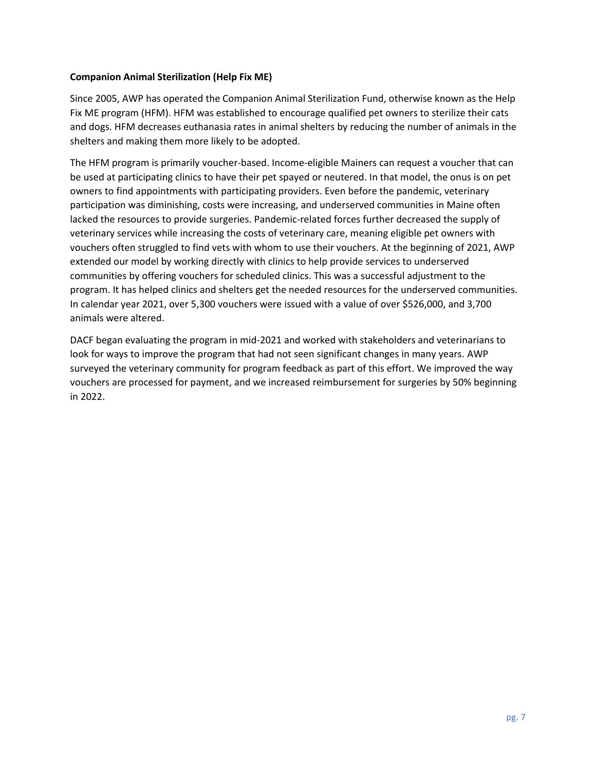# **Companion Animal Sterilization (Help Fix ME)**

Since 2005, AWP has operated the Companion Animal Sterilization Fund, otherwise known as the Help Fix ME program (HFM). HFM was established to encourage qualified pet owners to sterilize their cats and dogs. HFM decreases euthanasia rates in animal shelters by reducing the number of animals in the shelters and making them more likely to be adopted.

The HFM program is primarily voucher-based. Income-eligible Mainers can request a voucher that can be used at participating clinics to have their pet spayed or neutered. In that model, the onus is on pet owners to find appointments with participating providers. Even before the pandemic, veterinary participation was diminishing, costs were increasing, and underserved communities in Maine often lacked the resources to provide surgeries. Pandemic-related forces further decreased the supply of veterinary services while increasing the costs of veterinary care, meaning eligible pet owners with vouchers often struggled to find vets with whom to use their vouchers. At the beginning of 2021, AWP extended our model by working directly with clinics to help provide services to underserved communities by offering vouchers for scheduled clinics. This was a successful adjustment to the program. It has helped clinics and shelters get the needed resources for the underserved communities. In calendar year 2021, over 5,300 vouchers were issued with a value of over \$526,000, and 3,700 animals were altered.

DACF began evaluating the program in mid-2021 and worked with stakeholders and veterinarians to look for ways to improve the program that had not seen significant changes in many years. AWP surveyed the veterinary community for program feedback as part of this effort. We improved the way vouchers are processed for payment, and we increased reimbursement for surgeries by 50% beginning in 2022.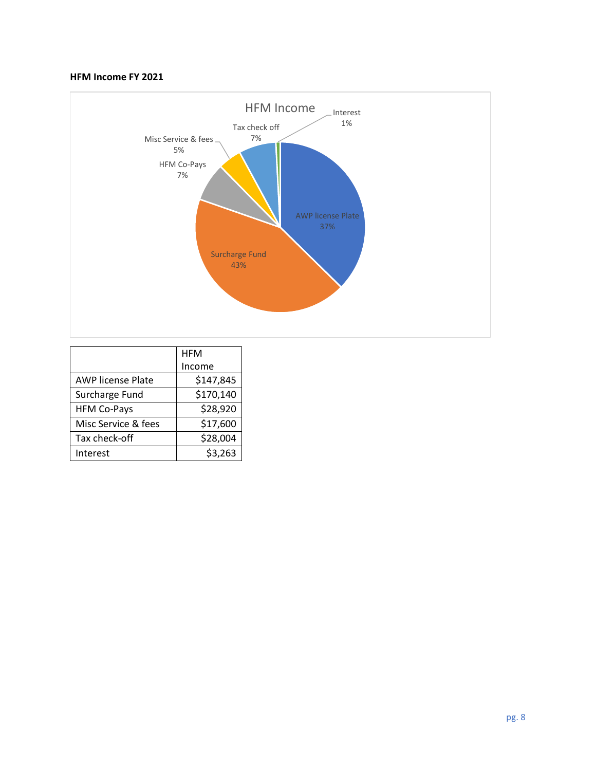# **HFM Income FY 2021**



|                          | <b>HFM</b> |
|--------------------------|------------|
|                          | Income     |
| <b>AWP license Plate</b> | \$147,845  |
| Surcharge Fund           | \$170,140  |
| <b>HFM Co-Pays</b>       | \$28,920   |
| Misc Service & fees      | \$17,600   |
| Tax check-off            | \$28,004   |
| Interest                 | \$3,263    |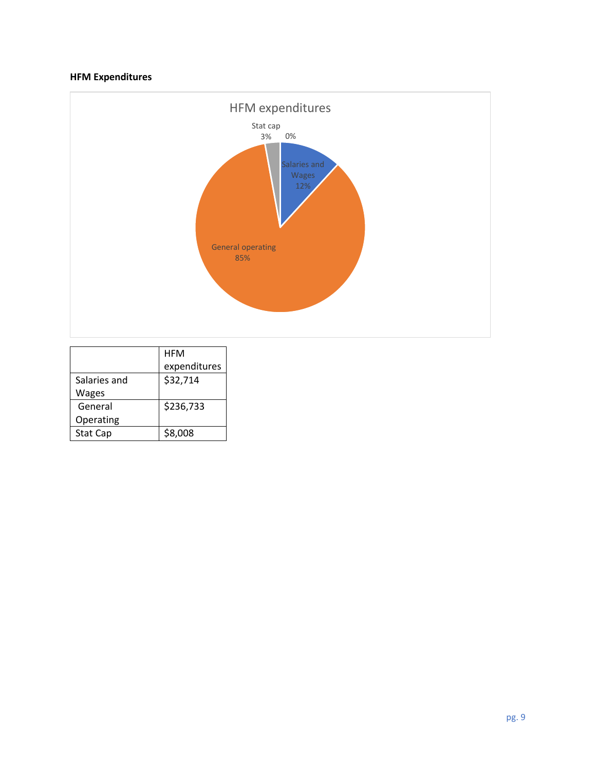# **HFM Expenditures**



|              | <b>HFM</b>   |
|--------------|--------------|
|              | expenditures |
| Salaries and | \$32,714     |
| Wages        |              |
| General      | \$236,733    |
| Operating    |              |
| Stat Cap     | \$8,008      |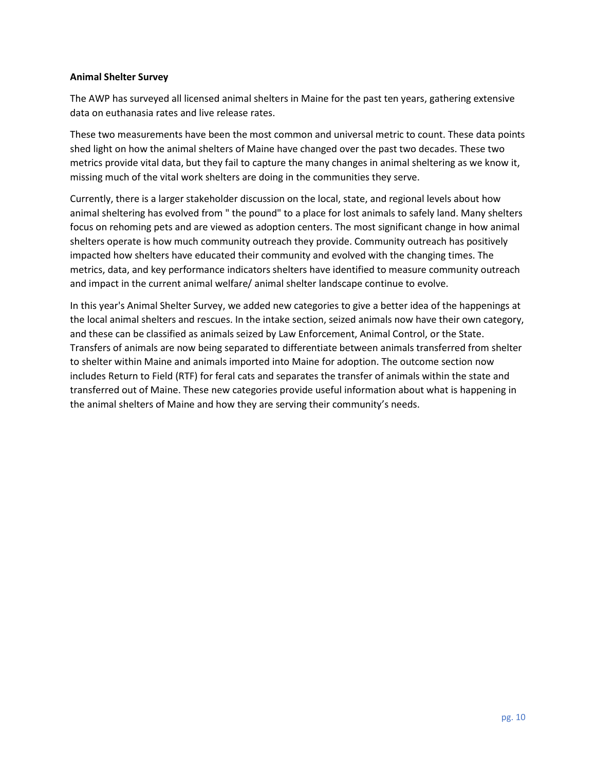### **Animal Shelter Survey**

The AWP has surveyed all licensed animal shelters in Maine for the past ten years, gathering extensive data on euthanasia rates and live release rates.

These two measurements have been the most common and universal metric to count. These data points shed light on how the animal shelters of Maine have changed over the past two decades. These two metrics provide vital data, but they fail to capture the many changes in animal sheltering as we know it, missing much of the vital work shelters are doing in the communities they serve.

Currently, there is a larger stakeholder discussion on the local, state, and regional levels about how animal sheltering has evolved from " the pound" to a place for lost animals to safely land. Many shelters focus on rehoming pets and are viewed as adoption centers. The most significant change in how animal shelters operate is how much community outreach they provide. Community outreach has positively impacted how shelters have educated their community and evolved with the changing times. The metrics, data, and key performance indicators shelters have identified to measure community outreach and impact in the current animal welfare/ animal shelter landscape continue to evolve.

In this year's Animal Shelter Survey, we added new categories to give a better idea of the happenings at the local animal shelters and rescues. In the intake section, seized animals now have their own category, and these can be classified as animals seized by Law Enforcement, Animal Control, or the State. Transfers of animals are now being separated to differentiate between animals transferred from shelter to shelter within Maine and animals imported into Maine for adoption. The outcome section now includes Return to Field (RTF) for feral cats and separates the transfer of animals within the state and transferred out of Maine. These new categories provide useful information about what is happening in the animal shelters of Maine and how they are serving their community's needs.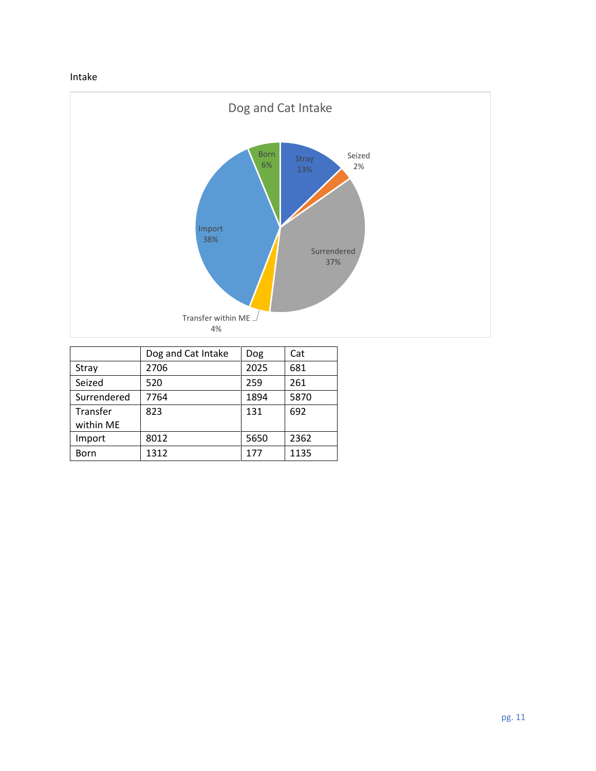# Intake



|                       | Dog and Cat Intake | Dog  | Cat  |
|-----------------------|--------------------|------|------|
| Stray                 | 2706               | 2025 | 681  |
| Seized                | 520                | 259  | 261  |
| Surrendered           | 7764               | 1894 | 5870 |
| Transfer<br>within ME | 823                | 131  | 692  |
| Import                | 8012               | 5650 | 2362 |
| Born                  | 1312               | 177  | 1135 |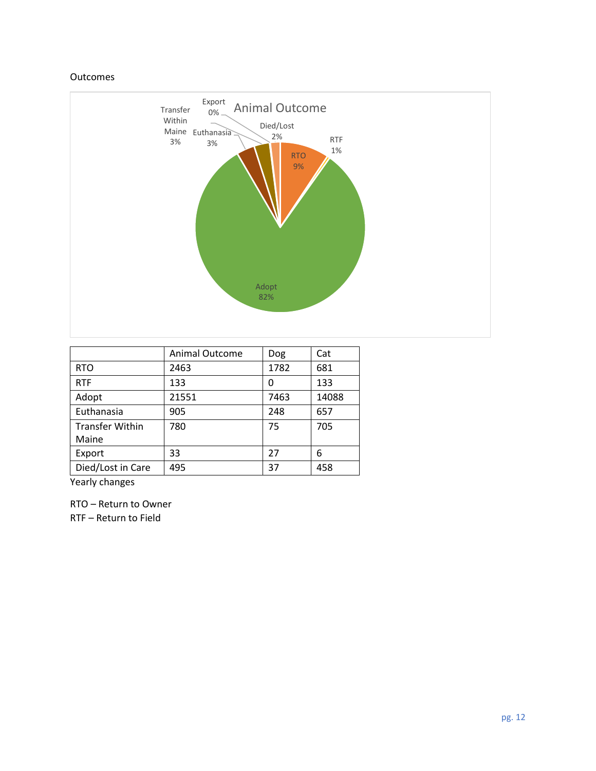### Outcomes



|                        | <b>Animal Outcome</b> | Dog  | Cat   |
|------------------------|-----------------------|------|-------|
| <b>RTO</b>             | 2463                  | 1782 | 681   |
| <b>RTF</b>             | 133                   | 0    | 133   |
| Adopt                  | 21551                 | 7463 | 14088 |
| Euthanasia             | 905                   | 248  | 657   |
| <b>Transfer Within</b> | 780                   | 75   | 705   |
| Maine                  |                       |      |       |
| Export                 | 33                    | 27   | 6     |
| Died/Lost in Care      | 495                   | 37   | 458   |

Yearly changes

RTO – Return to Owner

RTF – Return to Field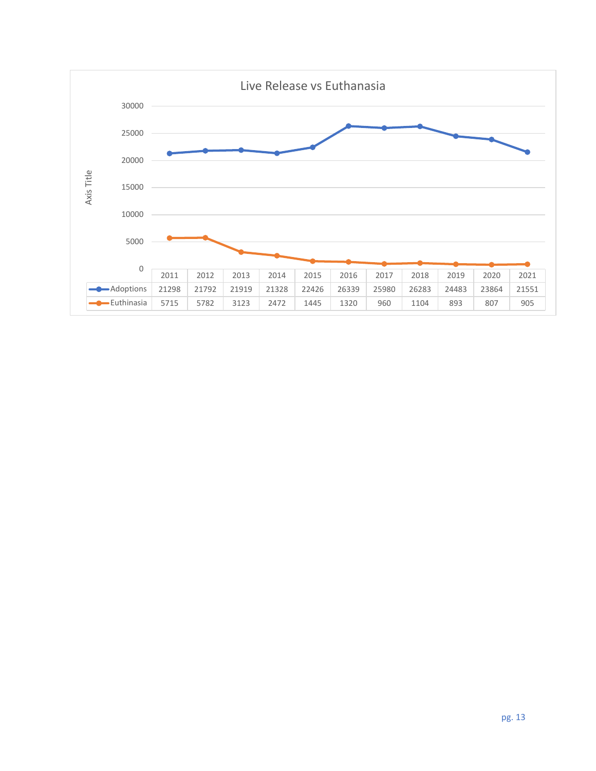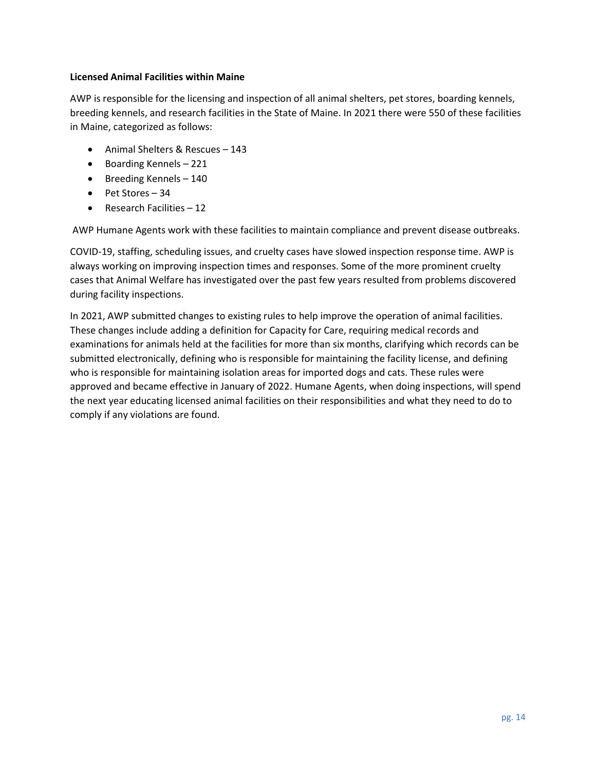# **Licensed Animal Facilities within Maine**

AWP is responsible for the licensing and inspection of all animal shelters, pet stores, boarding kennels, breeding kennels, and research facilities in the State of Maine. In 2021 there were 550 of these facilities in Maine, categorized as follows:

- Animal Shelters & Rescues 143
- Boarding Kennels 221
- Breeding Kennels 140
- Pet Stores 34
- Research Facilities 12

AWP Humane Agents work with these facilities to maintain compliance and prevent disease outbreaks.

COVID-19, staffing, scheduling issues, and cruelty cases have slowed inspection response time. AWP is always working on improving inspection times and responses. Some of the more prominent cruelty cases that Animal Welfare has investigated over the past few years resulted from problems discovered during facility inspections.

In 2021, AWP submitted changes to existing rules to help improve the operation of animal facilities. These changes include adding a definition for Capacity for Care, requiring medical records and examinations for animals held at the facilities for more than six months, clarifying which records can be submitted electronically, defining who is responsible for maintaining the facility license, and defining who is responsible for maintaining isolation areas for imported dogs and cats. These rules were approved and became effective in January of 2022. Humane Agents, when doing inspections, will spend the next year educating licensed animal facilities on their responsibilities and what they need to do to comply if any violations are found.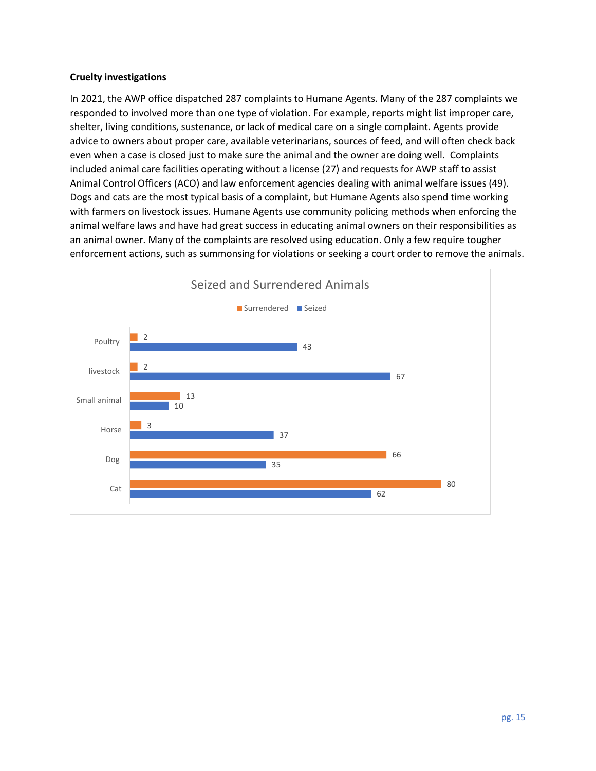## **Cruelty investigations**

In 2021, the AWP office dispatched 287 complaints to Humane Agents. Many of the 287 complaints we responded to involved more than one type of violation. For example, reports might list improper care, shelter, living conditions, sustenance, or lack of medical care on a single complaint. Agents provide advice to owners about proper care, available veterinarians, sources of feed, and will often check back even when a case is closed just to make sure the animal and the owner are doing well. Complaints included animal care facilities operating without a license (27) and requests for AWP staff to assist Animal Control Officers (ACO) and law enforcement agencies dealing with animal welfare issues (49). Dogs and cats are the most typical basis of a complaint, but Humane Agents also spend time working with farmers on livestock issues. Humane Agents use community policing methods when enforcing the animal welfare laws and have had great success in educating animal owners on their responsibilities as an animal owner. Many of the complaints are resolved using education. Only a few require tougher enforcement actions, such as summonsing for violations or seeking a court order to remove the animals.

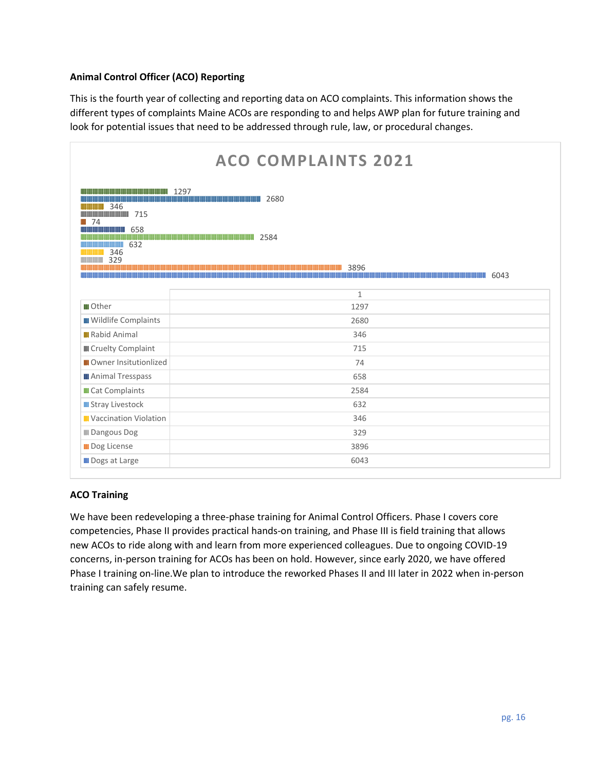# **Animal Control Officer (ACO) Reporting**

This is the fourth year of collecting and reporting data on ACO complaints. This information shows the different types of complaints Maine ACOs are responding to and helps AWP plan for future training and look for potential issues that need to be addressed through rule, law, or procedural changes.

| <b>ACO COMPLAINTS 2021</b>                                                                                                                     |                                                                                                           |
|------------------------------------------------------------------------------------------------------------------------------------------------|-----------------------------------------------------------------------------------------------------------|
| ,,,,,,,,,,,,,,,,,,,,,,,,,,,,,,,<br>346<br>,,,,,,<br>$\blacksquare$ 74<br>658<br>4 J I I I I I I I I I I<br>632<br>,,,,,,,,,,,,,,<br>346<br>329 | 1297<br>2680<br><b>MINIMUMINIMUMINIMUMINIMUMINIMUMINIMUMI</b> 2584<br>3896<br>6043<br>,,,,,,,,,,,,,,,,,,, |
|                                                                                                                                                | $\mathbf{1}$                                                                                              |
| <b>III</b> Other                                                                                                                               | 1297                                                                                                      |
| <b>III</b> Wildlife Complaints                                                                                                                 | 2680                                                                                                      |
| <b>II</b> Rabid Animal                                                                                                                         | 346                                                                                                       |
| <b>III</b> Cruelty Complaint                                                                                                                   | 715                                                                                                       |
| <b>III</b> Owner Insitutionlized                                                                                                               | 74                                                                                                        |
| <b>III</b> Animal Tresspass                                                                                                                    | 658                                                                                                       |
| <b>Cat Complaints</b>                                                                                                                          | 2584                                                                                                      |
| <b>II</b> Stray Livestock                                                                                                                      | 632                                                                                                       |
| <b>II</b> Vaccination Violation                                                                                                                | 346                                                                                                       |
| <b>III</b> Dangous Dog                                                                                                                         | 329                                                                                                       |
| <b>Dog License</b>                                                                                                                             | 3896                                                                                                      |
| <b>III</b> Dogs at Large                                                                                                                       | 6043                                                                                                      |

# **ACO Training**

We have been redeveloping a three-phase training for Animal Control Officers. Phase I covers core competencies, Phase II provides practical hands-on training, and Phase III is field training that allows new ACOs to ride along with and learn from more experienced colleagues. Due to ongoing COVID-19 concerns, in-person training for ACOs has been on hold. However, since early 2020, we have offered Phase I training on-line.We plan to introduce the reworked Phases II and III later in 2022 when in-person training can safely resume.